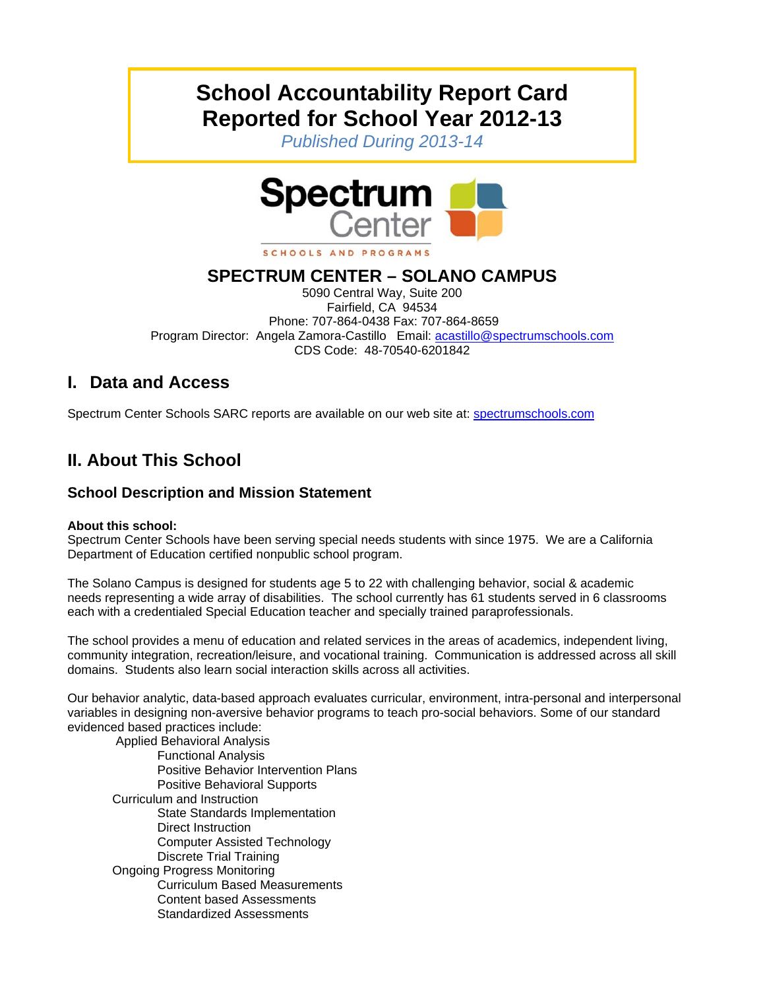# **School Accountability Report Card Reported for School Year 2012-13**

*Published During 2013-14* 



#### SCHOOLS AND PROGRAMS

### **SPECTRUM CENTER – SOLANO CAMPUS**

5090 Central Way, Suite 200 Fairfield, CA 94534 Phone: 707-864-0438 Fax: 707-864-8659 Program Director: Angela Zamora-Castillo Email: acastillo@spectrumschools.com CDS Code: 48-70540-6201842

### **I. Data and Access**

Spectrum Center Schools SARC reports are available on our web site at: spectrumschools.com

# **II. About This School**

### **School Description and Mission Statement**

#### **About this school:**

Spectrum Center Schools have been serving special needs students with since 1975. We are a California Department of Education certified nonpublic school program.

The Solano Campus is designed for students age 5 to 22 with challenging behavior, social & academic needs representing a wide array of disabilities. The school currently has 61 students served in 6 classrooms each with a credentialed Special Education teacher and specially trained paraprofessionals.

The school provides a menu of education and related services in the areas of academics, independent living, community integration, recreation/leisure, and vocational training. Communication is addressed across all skill domains. Students also learn social interaction skills across all activities.

Our behavior analytic, data-based approach evaluates curricular, environment, intra-personal and interpersonal variables in designing non-aversive behavior programs to teach pro-social behaviors. Some of our standard evidenced based practices include:

 Applied Behavioral Analysis Functional Analysis Positive Behavior Intervention Plans Positive Behavioral Supports Curriculum and Instruction State Standards Implementation Direct Instruction Computer Assisted Technology Discrete Trial Training Ongoing Progress Monitoring Curriculum Based Measurements Content based Assessments Standardized Assessments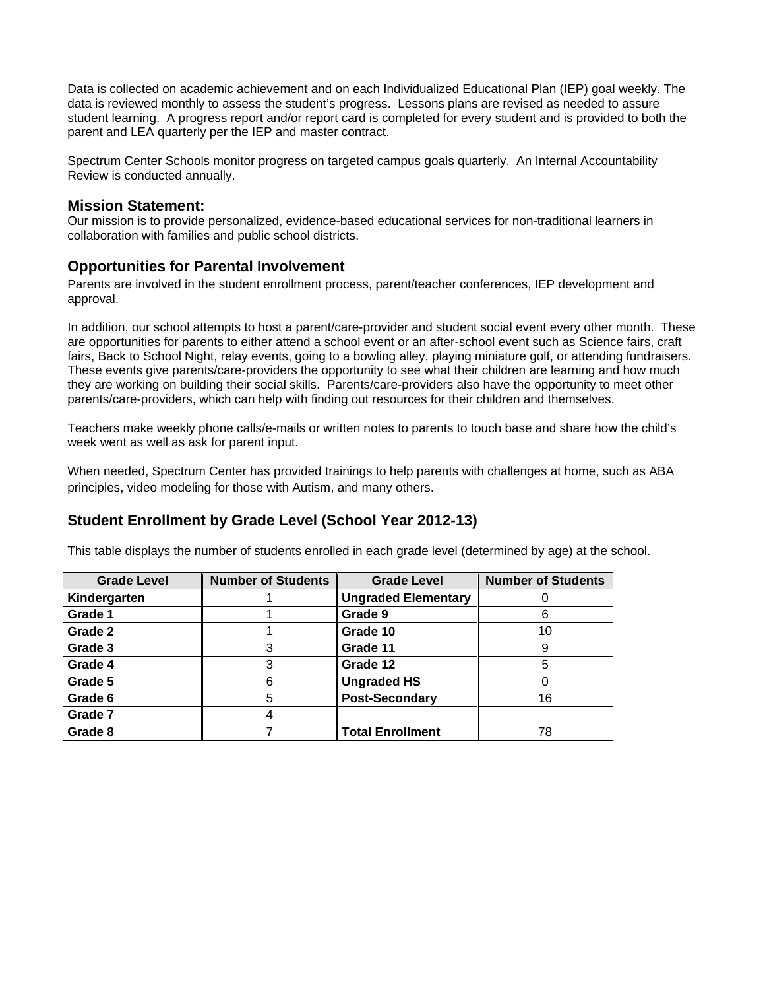Data is collected on academic achievement and on each Individualized Educational Plan (IEP) goal weekly. The data is reviewed monthly to assess the student's progress. Lessons plans are revised as needed to assure student learning. A progress report and/or report card is completed for every student and is provided to both the parent and LEA quarterly per the IEP and master contract.

Spectrum Center Schools monitor progress on targeted campus goals quarterly. An Internal Accountability Review is conducted annually.

**Mission Statement:**<br>Our mission is to provide personalized, evidence-based educational services for non-traditional learners in collaboration with families and public school districts.

#### **Opportunities for Parental Involvement**

Parents are involved in the student enrollment process, parent/teacher conferences, IEP development and approval.

In addition, our school attempts to host a parent/care-provider and student social event every other month. These are opportunities for parents to either attend a school event or an after-school event such as Science fairs, craft fairs, Back to School Night, relay events, going to a bowling alley, playing miniature golf, or attending fundraisers. These events give parents/care-providers the opportunity to see what their children are learning and how much they are working on building their social skills. Parents/care-providers also have the opportunity to meet other parents/care-providers, which can help with finding out resources for their children and themselves.

Teachers make weekly phone calls/e-mails or written notes to parents to touch base and share how the child's week went as well as ask for parent input.

When needed, Spectrum Center has provided trainings to help parents with challenges at home, such as ABA principles, video modeling for those with Autism, and many others.

### **Student Enrollment by Grade Level (School Year 2012-13)**

This table displays the number of students enrolled in each grade level (determined by age) at the school.

| <b>Grade Level</b> | <b>Number of Students</b> | <b>Grade Level</b>         | <b>Number of Students</b> |
|--------------------|---------------------------|----------------------------|---------------------------|
| Kindergarten       |                           | <b>Ungraded Elementary</b> |                           |
| Grade 1            |                           | Grade 9                    |                           |
| Grade 2            |                           | Grade 10                   | 10                        |
| Grade 3            |                           | Grade 11                   |                           |
| Grade 4            |                           | Grade 12                   |                           |
| Grade 5            | 6                         | <b>Ungraded HS</b>         |                           |
| Grade 6            | 5                         | <b>Post-Secondary</b>      | 16                        |
| Grade 7            |                           |                            |                           |
| Grade 8            |                           | <b>Total Enrollment</b>    | 78                        |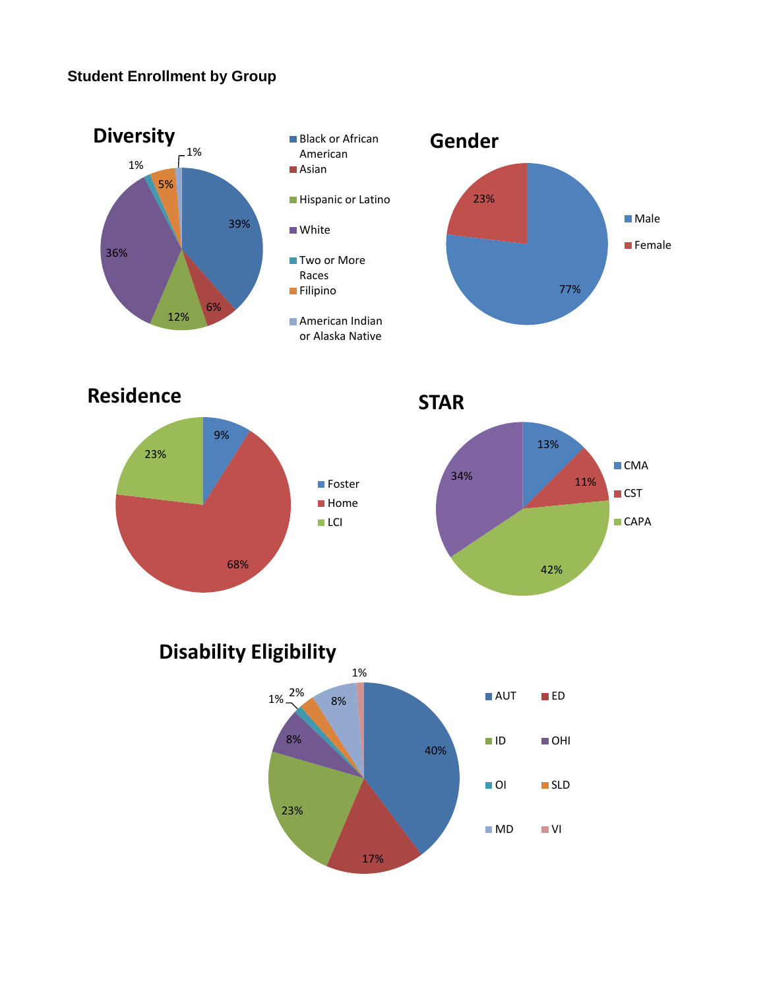### **Student Enrollment by Group**



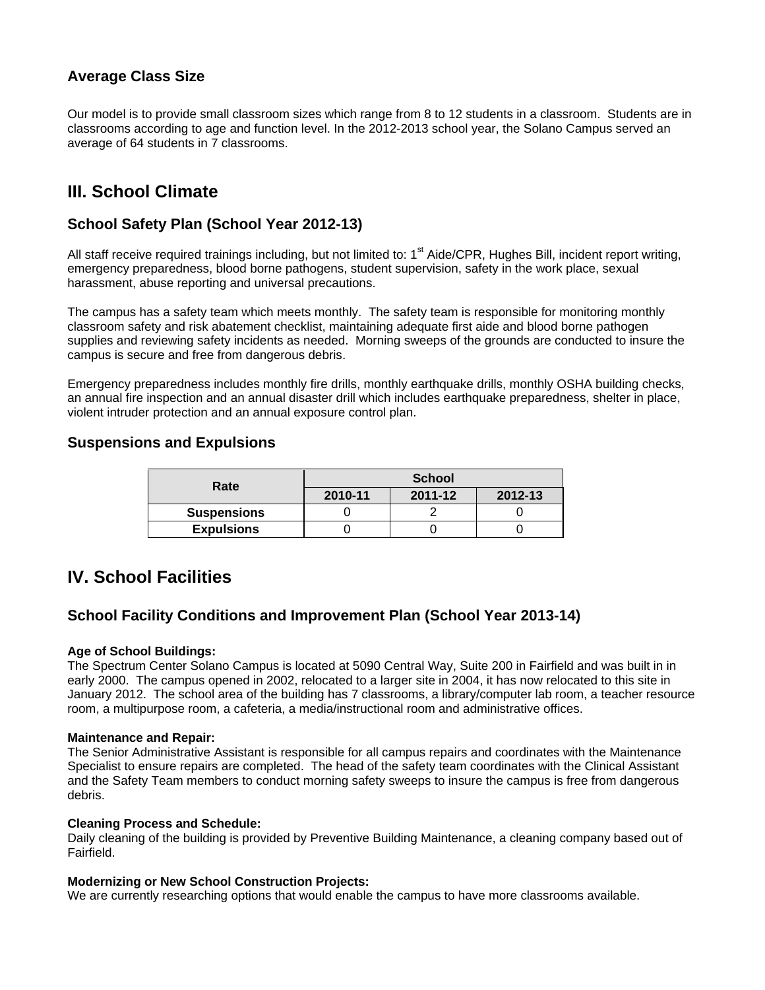### **Average Class Size**

Our model is to provide small classroom sizes which range from 8 to 12 students in a classroom. Students are in classrooms according to age and function level. In the 2012-2013 school year, the Solano Campus served an average of 64 students in 7 classrooms.

### **III. School Climate**

### **School Safety Plan (School Year 2012-13)**

All staff receive required trainings including, but not limited to:  $1<sup>st</sup>$  Aide/CPR, Hughes Bill, incident report writing, emergency preparedness, blood borne pathogens, student supervision, safety in the work place, sexual harassment, abuse reporting and universal precautions.

The campus has a safety team which meets monthly. The safety team is responsible for monitoring monthly classroom safety and risk abatement checklist, maintaining adequate first aide and blood borne pathogen supplies and reviewing safety incidents as needed. Morning sweeps of the grounds are conducted to insure the campus is secure and free from dangerous debris.

Emergency preparedness includes monthly fire drills, monthly earthquake drills, monthly OSHA building checks, an annual fire inspection and an annual disaster drill which includes earthquake preparedness, shelter in place, violent intruder protection and an annual exposure control plan.

#### **Suspensions and Expulsions**

| Rate               | <b>School</b> |         |         |  |
|--------------------|---------------|---------|---------|--|
|                    | 2010-11       | 2011-12 | 2012-13 |  |
| <b>Suspensions</b> |               |         |         |  |
| <b>Expulsions</b>  |               |         |         |  |

### **IV. School Facilities**

#### **School Facility Conditions and Improvement Plan (School Year 2013-14)**

#### **Age of School Buildings:**

The Spectrum Center Solano Campus is located at 5090 Central Way, Suite 200 in Fairfield and was built in in early 2000. The campus opened in 2002, relocated to a larger site in 2004, it has now relocated to this site in January 2012. The school area of the building has 7 classrooms, a library/computer lab room, a teacher resource room, a multipurpose room, a cafeteria, a media/instructional room and administrative offices.

#### **Maintenance and Repair:**

The Senior Administrative Assistant is responsible for all campus repairs and coordinates with the Maintenance Specialist to ensure repairs are completed. The head of the safety team coordinates with the Clinical Assistant and the Safety Team members to conduct morning safety sweeps to insure the campus is free from dangerous debris.

#### **Cleaning Process and Schedule:**

Daily cleaning of the building is provided by Preventive Building Maintenance, a cleaning company based out of Fairfield.

#### **Modernizing or New School Construction Projects:**

We are currently researching options that would enable the campus to have more classrooms available.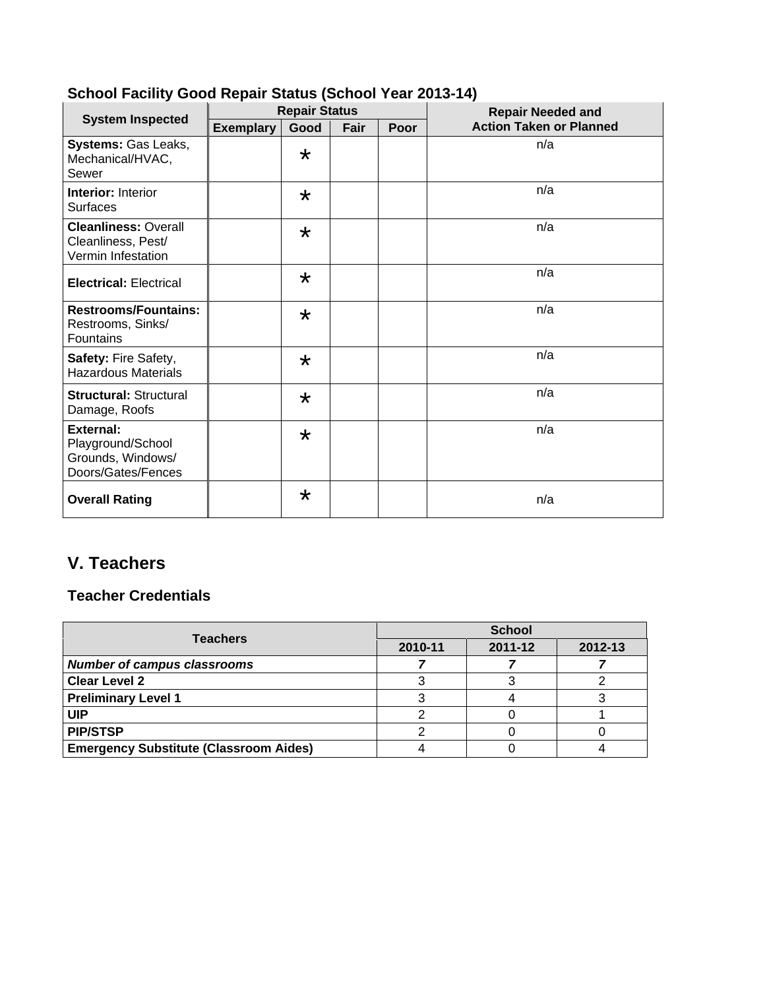|                                                                                  |                  | <b>Repair Status</b> |      |      | <b>Repair Needed and</b>       |
|----------------------------------------------------------------------------------|------------------|----------------------|------|------|--------------------------------|
| <b>System Inspected</b>                                                          | <b>Exemplary</b> | Good                 | Fair | Poor | <b>Action Taken or Planned</b> |
| Systems: Gas Leaks,<br>Mechanical/HVAC,<br>Sewer                                 |                  | $\star$              |      |      | n/a                            |
| <b>Interior: Interior</b><br><b>Surfaces</b>                                     |                  | $\star$              |      |      | n/a                            |
| <b>Cleanliness: Overall</b><br>Cleanliness, Pest/<br>Vermin Infestation          |                  | $\star$              |      |      | n/a                            |
| <b>Electrical: Electrical</b>                                                    |                  | $\star$              |      |      | n/a                            |
| <b>Restrooms/Fountains:</b><br>Restrooms, Sinks/<br>Fountains                    |                  | $\star$              |      |      | n/a                            |
| Safety: Fire Safety,<br><b>Hazardous Materials</b>                               |                  | $\star$              |      |      | n/a                            |
| <b>Structural: Structural</b><br>Damage, Roofs                                   |                  | $\star$              |      |      | n/a                            |
| <b>External:</b><br>Playground/School<br>Grounds, Windows/<br>Doors/Gates/Fences |                  | $\star$              |      |      | n/a                            |
| <b>Overall Rating</b>                                                            |                  | $\star$              |      |      | n/a                            |

### **School Facility Good Repair Status (School Year 2013-14)**

# **V. Teachers**

### **Teacher Credentials**

| <b>Teachers</b>                               |         | <b>School</b> |         |
|-----------------------------------------------|---------|---------------|---------|
|                                               | 2010-11 | 2011-12       | 2012-13 |
| <b>Number of campus classrooms</b>            |         |               |         |
| <b>Clear Level 2</b>                          |         |               |         |
| <b>Preliminary Level 1</b>                    |         |               |         |
| <b>UIP</b>                                    |         |               |         |
| <b>PIP/STSP</b>                               |         |               |         |
| <b>Emergency Substitute (Classroom Aides)</b> |         |               |         |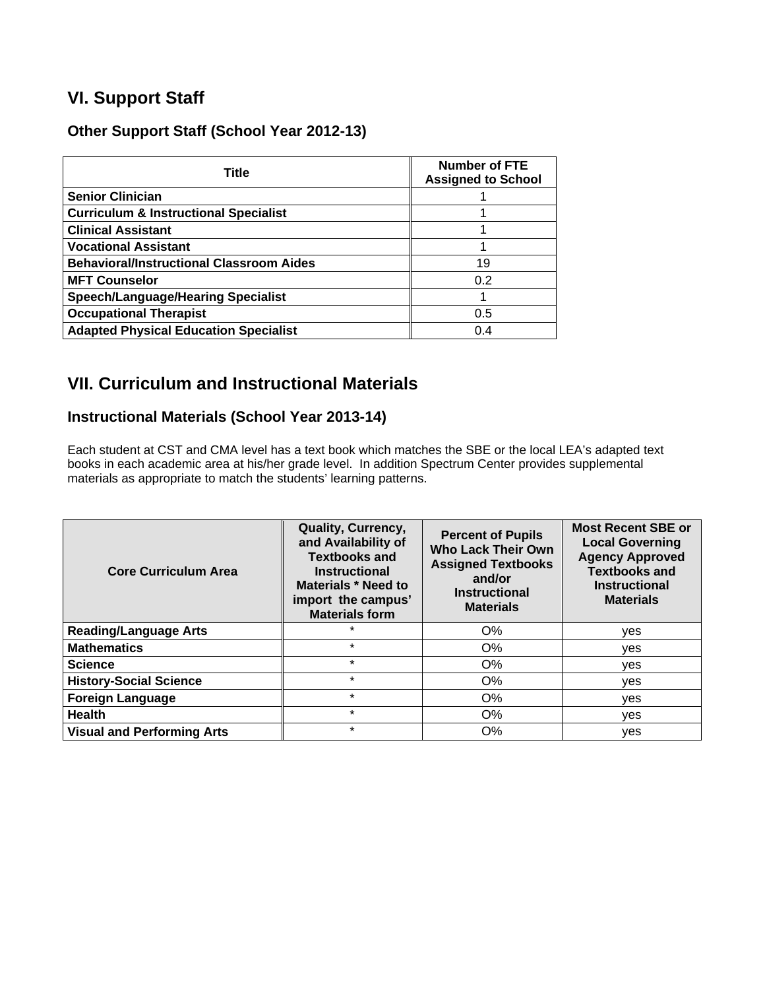### **VI. Support Staff**

### **Other Support Staff (School Year 2012-13)**

| <b>Title</b>                                     | <b>Number of FTE</b><br><b>Assigned to School</b> |
|--------------------------------------------------|---------------------------------------------------|
| <b>Senior Clinician</b>                          |                                                   |
| <b>Curriculum &amp; Instructional Specialist</b> |                                                   |
| <b>Clinical Assistant</b>                        |                                                   |
| <b>Vocational Assistant</b>                      |                                                   |
| <b>Behavioral/Instructional Classroom Aides</b>  | 19                                                |
| <b>MFT Counselor</b>                             | 0.2                                               |
| <b>Speech/Language/Hearing Specialist</b>        |                                                   |
| <b>Occupational Therapist</b>                    | 0.5                                               |
| <b>Adapted Physical Education Specialist</b>     | 0.4                                               |

## **VII. Curriculum and Instructional Materials**

### **Instructional Materials (School Year 2013-14)**

Each student at CST and CMA level has a text book which matches the SBE or the local LEA's adapted text books in each academic area at his/her grade level. In addition Spectrum Center provides supplemental materials as appropriate to match the students' learning patterns.

| <b>Core Curriculum Area</b>       | Quality, Currency,<br>and Availability of<br><b>Textbooks and</b><br><b>Instructional</b><br>Materials * Need to<br>import the campus'<br><b>Materials form</b> | <b>Percent of Pupils</b><br><b>Who Lack Their Own</b><br><b>Assigned Textbooks</b><br>and/or<br><b>Instructional</b><br><b>Materials</b> | <b>Most Recent SBE or</b><br><b>Local Governing</b><br><b>Agency Approved</b><br><b>Textbooks and</b><br><b>Instructional</b><br><b>Materials</b> |
|-----------------------------------|-----------------------------------------------------------------------------------------------------------------------------------------------------------------|------------------------------------------------------------------------------------------------------------------------------------------|---------------------------------------------------------------------------------------------------------------------------------------------------|
| <b>Reading/Language Arts</b>      | $\star$                                                                                                                                                         | O%                                                                                                                                       | yes                                                                                                                                               |
| <b>Mathematics</b>                | $\star$                                                                                                                                                         | O%                                                                                                                                       | yes                                                                                                                                               |
| <b>Science</b>                    | $\star$                                                                                                                                                         | O%                                                                                                                                       | ves                                                                                                                                               |
| <b>History-Social Science</b>     | $\star$                                                                                                                                                         | $O\%$                                                                                                                                    | ves                                                                                                                                               |
| <b>Foreign Language</b>           | $\star$                                                                                                                                                         | $O\%$                                                                                                                                    | yes                                                                                                                                               |
| <b>Health</b>                     | $\star$                                                                                                                                                         | O%                                                                                                                                       | yes                                                                                                                                               |
| <b>Visual and Performing Arts</b> | $\star$                                                                                                                                                         | O%                                                                                                                                       | yes                                                                                                                                               |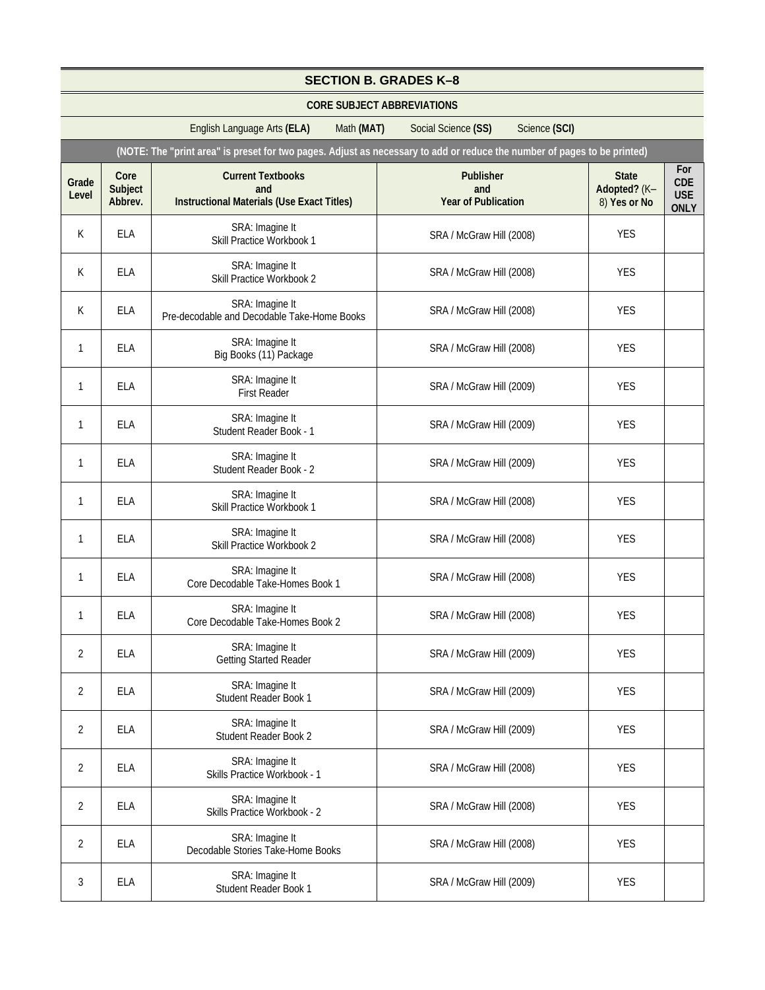|                | <b>SECTION B. GRADES K-8</b>      |                                                                                                                          |                                                |                                              |                                                |  |
|----------------|-----------------------------------|--------------------------------------------------------------------------------------------------------------------------|------------------------------------------------|----------------------------------------------|------------------------------------------------|--|
|                | <b>CORE SUBJECT ABBREVIATIONS</b> |                                                                                                                          |                                                |                                              |                                                |  |
|                |                                   | English Language Arts (ELA)<br>Math (MAT)                                                                                | Social Science (SS)<br>Science (SCI)           |                                              |                                                |  |
|                |                                   | (NOTE: The "print area" is preset for two pages. Adjust as necessary to add or reduce the number of pages to be printed) |                                                |                                              |                                                |  |
| Grade<br>Level | Core<br>Subject<br>Abbrev.        | <b>Current Textbooks</b><br>and<br><b>Instructional Materials (Use Exact Titles)</b>                                     | Publisher<br>and<br><b>Year of Publication</b> | <b>State</b><br>Adopted? (K-<br>8) Yes or No | For<br><b>CDE</b><br><b>USE</b><br><b>ONLY</b> |  |
| K              | <b>ELA</b>                        | SRA: Imagine It<br>Skill Practice Workbook 1                                                                             | SRA / McGraw Hill (2008)                       | <b>YES</b>                                   |                                                |  |
| K              | <b>ELA</b>                        | SRA: Imagine It<br>Skill Practice Workbook 2                                                                             | SRA / McGraw Hill (2008)                       | <b>YES</b>                                   |                                                |  |
| K              | <b>ELA</b>                        | SRA: Imagine It<br>Pre-decodable and Decodable Take-Home Books                                                           | SRA / McGraw Hill (2008)                       | <b>YES</b>                                   |                                                |  |
| 1              | <b>ELA</b>                        | SRA: Imagine It<br>Big Books (11) Package                                                                                | SRA / McGraw Hill (2008)                       | <b>YES</b>                                   |                                                |  |
| 1              | ELA                               | SRA: Imagine It<br><b>First Reader</b>                                                                                   | SRA / McGraw Hill (2009)                       | <b>YES</b>                                   |                                                |  |
| 1              | ELA                               | SRA: Imagine It<br>Student Reader Book - 1                                                                               | SRA / McGraw Hill (2009)                       | <b>YES</b>                                   |                                                |  |
| 1              | <b>ELA</b>                        | SRA: Imagine It<br>Student Reader Book - 2                                                                               | SRA / McGraw Hill (2009)                       | <b>YES</b>                                   |                                                |  |
| 1              | <b>ELA</b>                        | SRA: Imagine It<br>Skill Practice Workbook 1                                                                             | SRA / McGraw Hill (2008)                       | <b>YES</b>                                   |                                                |  |
| 1              | ELA                               | SRA: Imagine It<br>Skill Practice Workbook 2                                                                             | SRA / McGraw Hill (2008)                       | <b>YES</b>                                   |                                                |  |
| 1              | <b>ELA</b>                        | SRA: Imagine It<br>Core Decodable Take-Homes Book 1                                                                      | SRA / McGraw Hill (2008)                       | <b>YES</b>                                   |                                                |  |
| 1              | <b>ELA</b>                        | SRA: Imagine It<br>Core Decodable Take-Homes Book 2                                                                      | SRA / McGraw Hill (2008)                       | <b>YES</b>                                   |                                                |  |
| $\overline{2}$ | <b>ELA</b>                        | SRA: Imagine It<br><b>Getting Started Reader</b>                                                                         | SRA / McGraw Hill (2009)                       | <b>YES</b>                                   |                                                |  |
| $\overline{2}$ | <b>ELA</b>                        | SRA: Imagine It<br>Student Reader Book 1                                                                                 | SRA / McGraw Hill (2009)                       | <b>YES</b>                                   |                                                |  |
| $\overline{2}$ | <b>ELA</b>                        | SRA: Imagine It<br>Student Reader Book 2                                                                                 | SRA / McGraw Hill (2009)                       | <b>YES</b>                                   |                                                |  |
| $\overline{2}$ | <b>ELA</b>                        | SRA: Imagine It<br>Skills Practice Workbook - 1                                                                          | SRA / McGraw Hill (2008)                       | <b>YES</b>                                   |                                                |  |
| 2              | <b>ELA</b>                        | SRA: Imagine It<br>Skills Practice Workbook - 2                                                                          | SRA / McGraw Hill (2008)                       | <b>YES</b>                                   |                                                |  |
| $\overline{2}$ | ELA                               | SRA: Imagine It<br>Decodable Stories Take-Home Books                                                                     | SRA / McGraw Hill (2008)                       | <b>YES</b>                                   |                                                |  |
| 3              | ELA                               | SRA: Imagine It<br>Student Reader Book 1                                                                                 | SRA / McGraw Hill (2009)                       | <b>YES</b>                                   |                                                |  |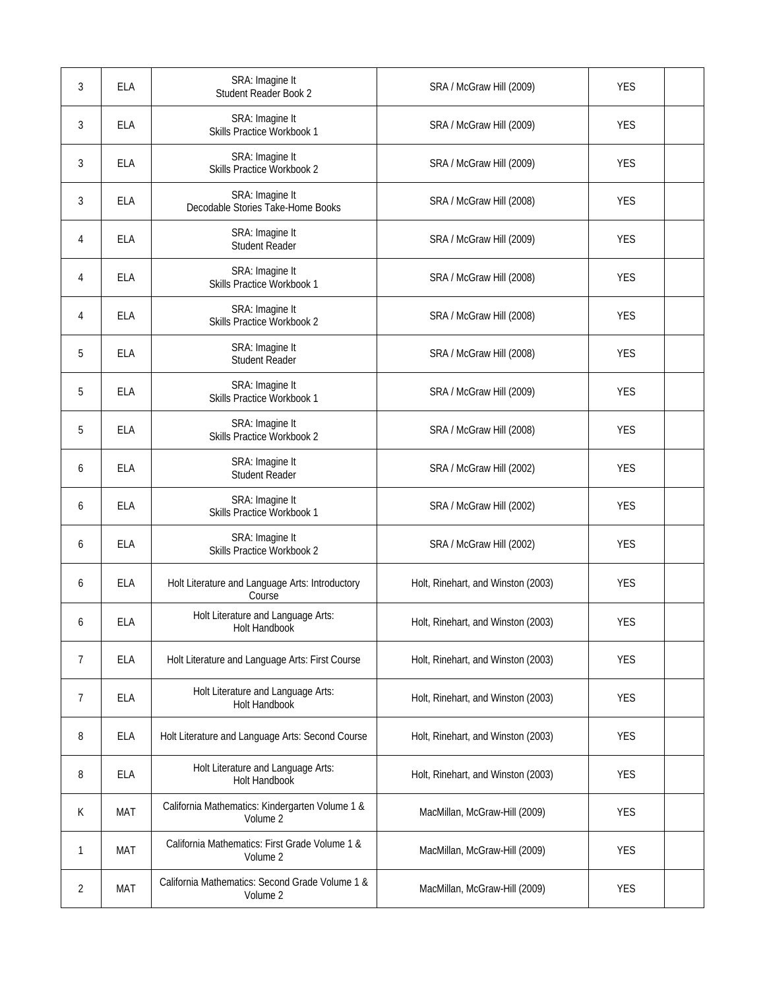| 3 | <b>ELA</b> | SRA: Imagine It<br>Student Reader Book 2                    | SRA / McGraw Hill (2009)           | <b>YES</b> |  |
|---|------------|-------------------------------------------------------------|------------------------------------|------------|--|
| 3 | <b>ELA</b> | SRA: Imagine It<br>Skills Practice Workbook 1               | SRA / McGraw Hill (2009)           | <b>YES</b> |  |
| 3 | <b>ELA</b> | SRA: Imagine It<br>Skills Practice Workbook 2               | SRA / McGraw Hill (2009)           | <b>YES</b> |  |
| 3 | <b>ELA</b> | SRA: Imagine It<br>Decodable Stories Take-Home Books        | SRA / McGraw Hill (2008)           | <b>YES</b> |  |
| 4 | <b>ELA</b> | SRA: Imagine It<br><b>Student Reader</b>                    | SRA / McGraw Hill (2009)           | <b>YES</b> |  |
| 4 | <b>ELA</b> | SRA: Imagine It<br>Skills Practice Workbook 1               | SRA / McGraw Hill (2008)           | <b>YES</b> |  |
| 4 | <b>ELA</b> | SRA: Imagine It<br>Skills Practice Workbook 2               | SRA / McGraw Hill (2008)           | <b>YES</b> |  |
| 5 | <b>ELA</b> | SRA: Imagine It<br><b>Student Reader</b>                    | SRA / McGraw Hill (2008)           | <b>YES</b> |  |
| 5 | <b>ELA</b> | SRA: Imagine It<br>Skills Practice Workbook 1               | SRA / McGraw Hill (2009)           | <b>YES</b> |  |
| 5 | <b>ELA</b> | SRA: Imagine It<br>Skills Practice Workbook 2               | SRA / McGraw Hill (2008)           | <b>YES</b> |  |
| 6 | <b>ELA</b> | SRA: Imagine It<br><b>Student Reader</b>                    | SRA / McGraw Hill (2002)           | <b>YES</b> |  |
| 6 | <b>ELA</b> | SRA: Imagine It<br>Skills Practice Workbook 1               | SRA / McGraw Hill (2002)           | <b>YES</b> |  |
| 6 | <b>ELA</b> | SRA: Imagine It<br>Skills Practice Workbook 2               | SRA / McGraw Hill (2002)           | <b>YES</b> |  |
| 6 | <b>ELA</b> | Holt Literature and Language Arts: Introductory<br>Course   | Holt, Rinehart, and Winston (2003) | <b>YES</b> |  |
| 6 | <b>ELA</b> | Holt Literature and Language Arts:<br><b>Holt Handbook</b>  | Holt, Rinehart, and Winston (2003) | <b>YES</b> |  |
| 7 | <b>ELA</b> | Holt Literature and Language Arts: First Course             | Holt, Rinehart, and Winston (2003) | <b>YES</b> |  |
| 7 | <b>ELA</b> | Holt Literature and Language Arts:<br>Holt Handbook         | Holt, Rinehart, and Winston (2003) | <b>YES</b> |  |
| 8 | ELA        | Holt Literature and Language Arts: Second Course            | Holt, Rinehart, and Winston (2003) | <b>YES</b> |  |
| 8 | ELA        | Holt Literature and Language Arts:<br>Holt Handbook         | Holt, Rinehart, and Winston (2003) | <b>YES</b> |  |
| К | <b>MAT</b> | California Mathematics: Kindergarten Volume 1 &<br>Volume 2 | MacMillan, McGraw-Hill (2009)      | <b>YES</b> |  |
| 1 | MAT        | California Mathematics: First Grade Volume 1 &<br>Volume 2  | MacMillan, McGraw-Hill (2009)      | <b>YES</b> |  |
| 2 | MAT        | California Mathematics: Second Grade Volume 1 &<br>Volume 2 | MacMillan, McGraw-Hill (2009)      | <b>YES</b> |  |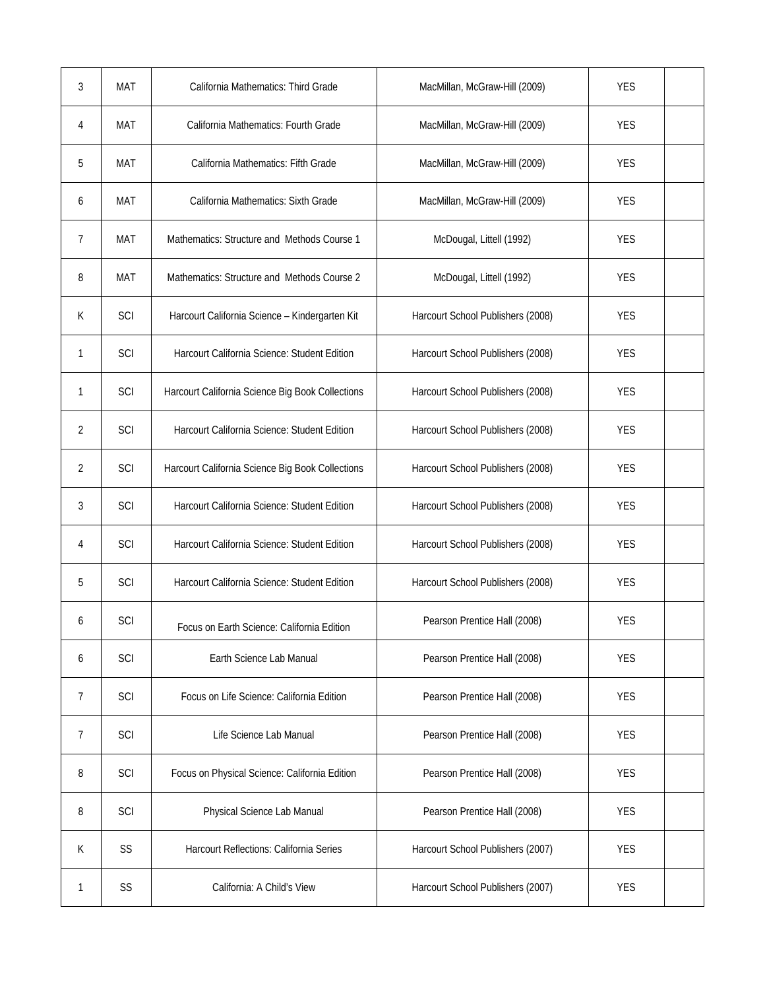| 3 | <b>MAT</b> | California Mathematics: Third Grade              | MacMillan, McGraw-Hill (2009)     | <b>YES</b> |  |
|---|------------|--------------------------------------------------|-----------------------------------|------------|--|
| 4 | <b>MAT</b> | California Mathematics: Fourth Grade             | MacMillan, McGraw-Hill (2009)     | <b>YES</b> |  |
| 5 | <b>MAT</b> | California Mathematics: Fifth Grade              | MacMillan, McGraw-Hill (2009)     | <b>YES</b> |  |
| 6 | <b>MAT</b> | California Mathematics: Sixth Grade              | MacMillan, McGraw-Hill (2009)     | <b>YES</b> |  |
| 7 | <b>MAT</b> | Mathematics: Structure and Methods Course 1      | McDougal, Littell (1992)          | <b>YES</b> |  |
| 8 | <b>MAT</b> | Mathematics: Structure and Methods Course 2      | McDougal, Littell (1992)          | <b>YES</b> |  |
| K | SCI        | Harcourt California Science - Kindergarten Kit   | Harcourt School Publishers (2008) | <b>YES</b> |  |
| 1 | SCI        | Harcourt California Science: Student Edition     | Harcourt School Publishers (2008) | <b>YES</b> |  |
| 1 | SCI        | Harcourt California Science Big Book Collections | Harcourt School Publishers (2008) | <b>YES</b> |  |
| 2 | SCI        | Harcourt California Science: Student Edition     | Harcourt School Publishers (2008) | <b>YES</b> |  |
| 2 | SCI        | Harcourt California Science Big Book Collections | Harcourt School Publishers (2008) | <b>YES</b> |  |
| 3 | SCI        | Harcourt California Science: Student Edition     | Harcourt School Publishers (2008) | <b>YES</b> |  |
| 4 | SCI        | Harcourt California Science: Student Edition     | Harcourt School Publishers (2008) | <b>YES</b> |  |
| 5 | SCI        | Harcourt California Science: Student Edition     | Harcourt School Publishers (2008) | <b>YES</b> |  |
| 6 | SCI        | Focus on Earth Science: California Edition       | Pearson Prentice Hall (2008)      | <b>YES</b> |  |
| 6 | SCI        | Earth Science Lab Manual                         | Pearson Prentice Hall (2008)      | <b>YES</b> |  |
| 7 | SCI        | Focus on Life Science: California Edition        | Pearson Prentice Hall (2008)      | <b>YES</b> |  |
| 7 | SCI        | Life Science Lab Manual                          | Pearson Prentice Hall (2008)      | <b>YES</b> |  |
| 8 | SCI        | Focus on Physical Science: California Edition    | Pearson Prentice Hall (2008)      | <b>YES</b> |  |
| 8 | SCI        | Physical Science Lab Manual                      | Pearson Prentice Hall (2008)      | <b>YES</b> |  |
| К | SS         | Harcourt Reflections: California Series          | Harcourt School Publishers (2007) | <b>YES</b> |  |
| 1 | SS         | California: A Child's View                       | Harcourt School Publishers (2007) | <b>YES</b> |  |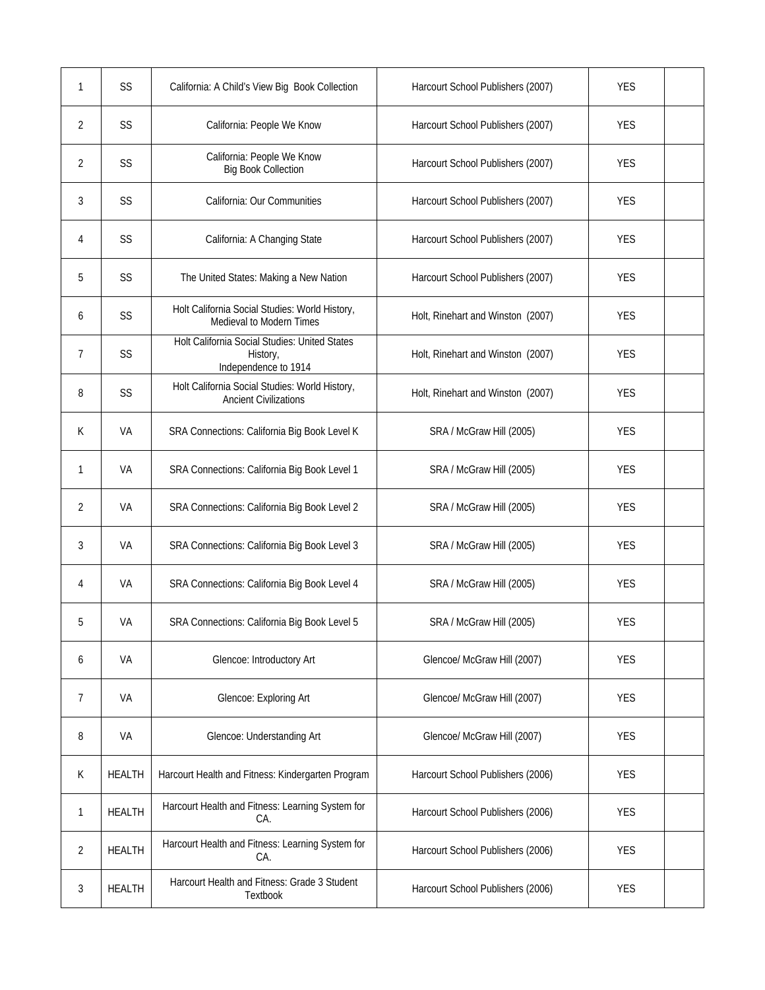| 1 | SS            | California: A Child's View Big Book Collection                                    | Harcourt School Publishers (2007) | <b>YES</b> |  |
|---|---------------|-----------------------------------------------------------------------------------|-----------------------------------|------------|--|
| 2 | SS            | California: People We Know                                                        | Harcourt School Publishers (2007) | <b>YES</b> |  |
| 2 | SS            | California: People We Know<br><b>Big Book Collection</b>                          | Harcourt School Publishers (2007) | <b>YES</b> |  |
| 3 | SS            | California: Our Communities                                                       | Harcourt School Publishers (2007) | <b>YES</b> |  |
| 4 | SS            | California: A Changing State                                                      | Harcourt School Publishers (2007) | <b>YES</b> |  |
| 5 | SS            | The United States: Making a New Nation                                            | Harcourt School Publishers (2007) | <b>YES</b> |  |
| 6 | SS            | Holt California Social Studies: World History,<br>Medieval to Modern Times        | Holt, Rinehart and Winston (2007) | <b>YES</b> |  |
| 7 | SS            | Holt California Social Studies: United States<br>History,<br>Independence to 1914 | Holt, Rinehart and Winston (2007) | <b>YES</b> |  |
| 8 | SS            | Holt California Social Studies: World History,<br><b>Ancient Civilizations</b>    | Holt, Rinehart and Winston (2007) | <b>YES</b> |  |
| К | VA            | SRA Connections: California Big Book Level K                                      | SRA / McGraw Hill (2005)          | <b>YES</b> |  |
| 1 | VA            | SRA Connections: California Big Book Level 1                                      | SRA / McGraw Hill (2005)          | <b>YES</b> |  |
| 2 | VA            | SRA Connections: California Big Book Level 2                                      | SRA / McGraw Hill (2005)          | <b>YES</b> |  |
| 3 | VA            | SRA Connections: California Big Book Level 3                                      | SRA / McGraw Hill (2005)          | <b>YES</b> |  |
| 4 | VA            | SRA Connections: California Big Book Level 4                                      | SRA / McGraw Hill (2005)          | <b>YES</b> |  |
| 5 | VA            | SRA Connections: California Big Book Level 5                                      | SRA / McGraw Hill (2005)          | <b>YES</b> |  |
| 6 | VA            | Glencoe: Introductory Art                                                         | Glencoe/ McGraw Hill (2007)       | <b>YES</b> |  |
| 7 | VA            | Glencoe: Exploring Art                                                            | Glencoe/ McGraw Hill (2007)       | <b>YES</b> |  |
| 8 | VA            | Glencoe: Understanding Art                                                        | Glencoe/ McGraw Hill (2007)       | <b>YES</b> |  |
| K | <b>HEALTH</b> | Harcourt Health and Fitness: Kindergarten Program                                 | Harcourt School Publishers (2006) | <b>YES</b> |  |
| 1 | <b>HEALTH</b> | Harcourt Health and Fitness: Learning System for<br>CA.                           | Harcourt School Publishers (2006) | <b>YES</b> |  |
| 2 | <b>HEALTH</b> | Harcourt Health and Fitness: Learning System for<br>CA.                           | Harcourt School Publishers (2006) | <b>YES</b> |  |
| 3 | <b>HEALTH</b> | Harcourt Health and Fitness: Grade 3 Student<br>Textbook                          | Harcourt School Publishers (2006) | <b>YES</b> |  |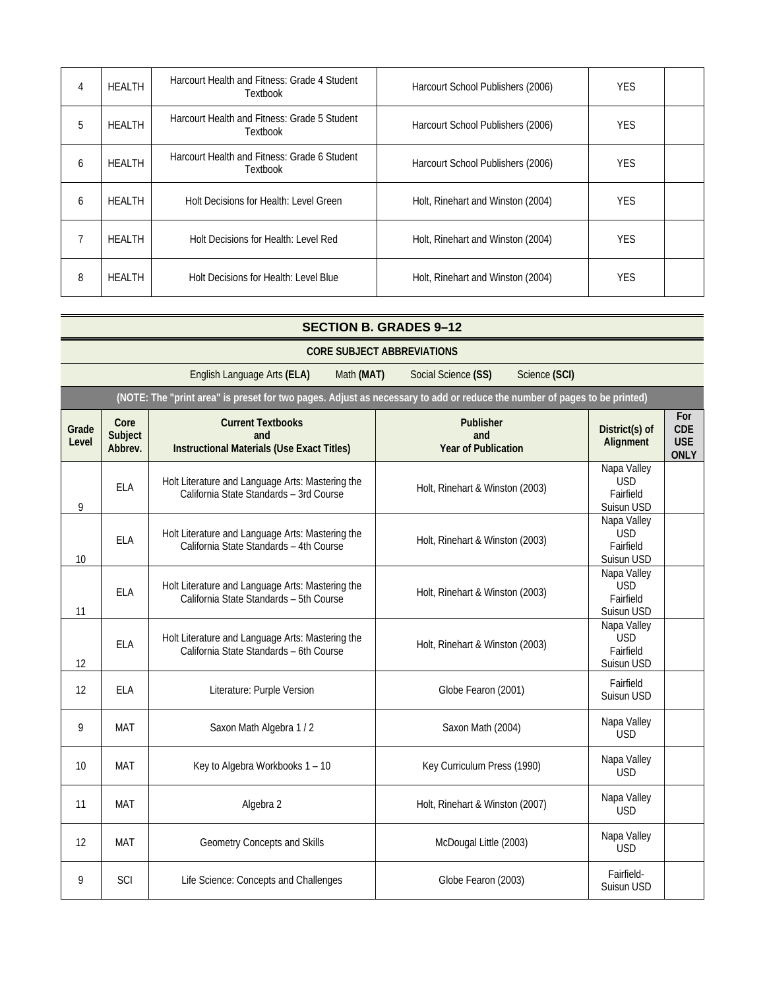| 4 | <b>HEALTH</b> | Harcourt Health and Fitness: Grade 4 Student<br><b>Textbook</b> | Harcourt School Publishers (2006) | <b>YES</b> |  |
|---|---------------|-----------------------------------------------------------------|-----------------------------------|------------|--|
| 5 | <b>HEALTH</b> | Harcourt Health and Fitness: Grade 5 Student<br><b>Textbook</b> | Harcourt School Publishers (2006) | <b>YES</b> |  |
| 6 | <b>HEALTH</b> | Harcourt Health and Fitness: Grade 6 Student<br>Textbook        | Harcourt School Publishers (2006) | <b>YES</b> |  |
| 6 | HEALTH        | Holt Decisions for Health: Level Green                          | Holt, Rinehart and Winston (2004) | <b>YES</b> |  |
|   | HEALTH        | Holt Decisions for Health: Level Red                            | Holt, Rinehart and Winston (2004) | <b>YES</b> |  |
| 8 | HEALTH        | Holt Decisions for Health: Level Blue                           | Holt, Rinehart and Winston (2004) | <b>YES</b> |  |

#### **SECTION B. GRADES 9–12 CORE SUBJECT ABBREVIATIONS**  English Language Arts **(ELA)** Math **(MAT)** Social Science **(SS)** Science **(SCI) (NOTE: The "print area" is preset for two pages. Adjust as necessary to add or reduce the number of pages to be printed) Grade Level Core Subject Abbrev. Current Textbooks and Instructional Materials (Use Exact Titles) Publisher and Year of Publication District(s) of Alignment For CDE USE ONLY**  9 ELA Holt Literature and Language Arts: Mastering the California State Standards – 3rd Course Holt, Rinehart & Winston (2003) Napa Valley USD Fairfield Suisun USD 10 ELA Holt Literature and Language Arts: Mastering the California State Standards – 4th Course Holt, Rinehart & Winston (2003) Napa Valley USD Fairfield Suisun USD 11 ELA Holt Literature and Language Arts: Mastering the California State Standards – 5th Course Holt, Rinehart & Winston (2003) Napa Valley USD Fairfield Suisun USD 12 ELA Holt Literature and Language Arts: Mastering the California State Standards – 6th Course Holt, Rinehart & Winston (2003) Napa Valley USD Fairfield Suisun USD 12 ELA Literature: Purple Version Company (2001) Fairfield Suisun USD 9 | MAT | Saxon Math Algebra 1 / 2 | Saxon Math (2004) | Napa Valley USD 10 MAT Key to Algebra Workbooks 1 – 10 Key Curriculum Press (1990) Napa Valley USD

11 MAT Napa Valley<br>
11 MAT Napa Valley<br>
11 MAT Napa Valley<br>
11 MAT Napa Valley

12 MAT Geometry Concepts and Skills McDougal Little (2003) Mapa Valley

er a SCI Life Science: Concepts and Challenges Concepts and Challenges Globe Fearon (2003) Fairfield-

USD

USD

Suisun USD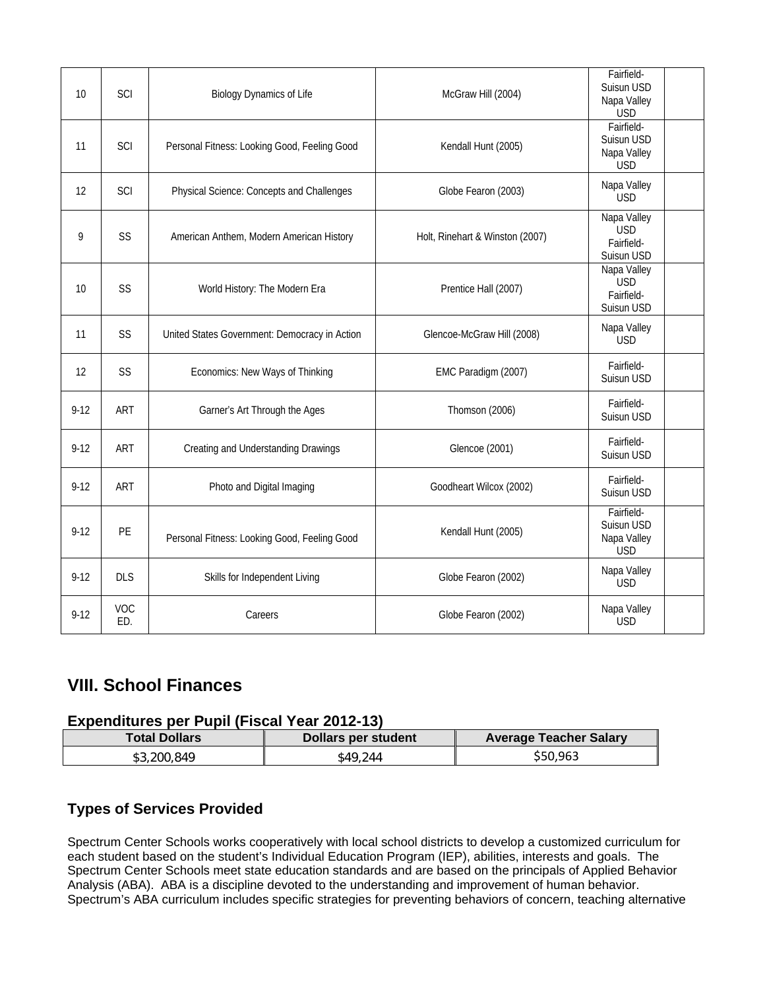| 10       | SCI        | <b>Biology Dynamics of Life</b>               | McGraw Hill (2004)              | Fairfield-<br>Suisun USD<br>Napa Valley<br><b>USD</b> |  |
|----------|------------|-----------------------------------------------|---------------------------------|-------------------------------------------------------|--|
| 11       | SCI        | Personal Fitness: Looking Good, Feeling Good  | Kendall Hunt (2005)             | Fairfield-<br>Suisun USD<br>Napa Valley<br><b>USD</b> |  |
| 12       | SCI        | Physical Science: Concepts and Challenges     | Globe Fearon (2003)             | Napa Valley<br><b>USD</b>                             |  |
| 9        | SS         | American Anthem, Modern American History      | Holt, Rinehart & Winston (2007) | Napa Valley<br><b>USD</b><br>Fairfield-<br>Suisun USD |  |
| 10       | SS         | World History: The Modern Era                 | Prentice Hall (2007)            | Napa Valley<br><b>USD</b><br>Fairfield-<br>Suisun USD |  |
| 11       | SS         | United States Government: Democracy in Action | Glencoe-McGraw Hill (2008)      | Napa Valley<br><b>USD</b>                             |  |
| 12       | SS         | Economics: New Ways of Thinking               | EMC Paradigm (2007)             | Fairfield-<br>Suisun USD                              |  |
| $9 - 12$ | ART        | Garner's Art Through the Ages                 | Thomson (2006)                  | Fairfield-<br>Suisun USD                              |  |
| $9-12$   | ART        | Creating and Understanding Drawings           | Glencoe (2001)                  | Fairfield-<br>Suisun USD                              |  |
| $9 - 12$ | ART        | Photo and Digital Imaging                     | Goodheart Wilcox (2002)         | Fairfield-<br>Suisun USD                              |  |
| $9 - 12$ | PE         | Personal Fitness: Looking Good, Feeling Good  | Kendall Hunt (2005)             | Fairfield-<br>Suisun USD<br>Napa Valley<br><b>USD</b> |  |
| $9-12$   | <b>DLS</b> | Skills for Independent Living                 | Globe Fearon (2002)             | Napa Valley<br><b>USD</b>                             |  |
| $9 - 12$ | VOC<br>ED. | Careers                                       | Globe Fearon (2002)             | Napa Valley<br><b>USD</b>                             |  |

### **VIII. School Finances**

#### **Expenditures per Pupil (Fiscal Year 2012-13)**

| <b>Total Dollars</b> | Dollars per student | <b>Average Teacher Salary</b> |
|----------------------|---------------------|-------------------------------|
| \$3.200.849          | \$49.244            | \$50,963                      |

### **Types of Services Provided**

Spectrum Center Schools works cooperatively with local school districts to develop a customized curriculum for each student based on the student's Individual Education Program (IEP), abilities, interests and goals. The Spectrum Center Schools meet state education standards and are based on the principals of Applied Behavior Analysis (ABA). ABA is a discipline devoted to the understanding and improvement of human behavior. Spectrum's ABA curriculum includes specific strategies for preventing behaviors of concern, teaching alternative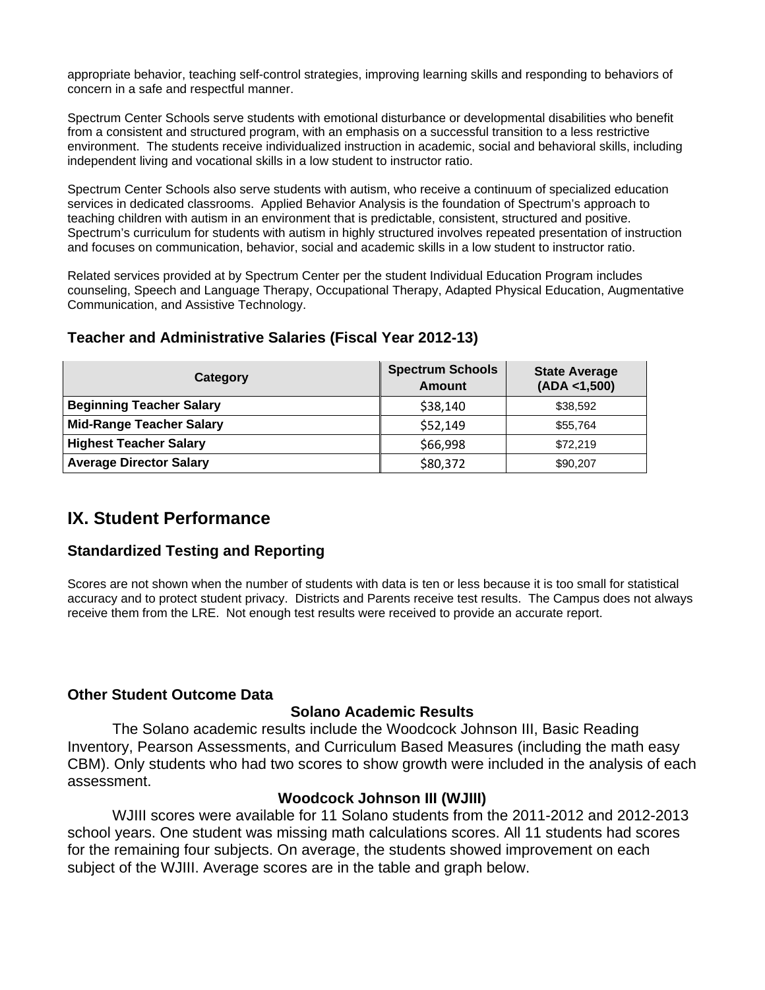appropriate behavior, teaching self-control strategies, improving learning skills and responding to behaviors of concern in a safe and respectful manner.

Spectrum Center Schools serve students with emotional disturbance or developmental disabilities who benefit from a consistent and structured program, with an emphasis on a successful transition to a less restrictive environment. The students receive individualized instruction in academic, social and behavioral skills, including independent living and vocational skills in a low student to instructor ratio.

Spectrum Center Schools also serve students with autism, who receive a continuum of specialized education services in dedicated classrooms. Applied Behavior Analysis is the foundation of Spectrum's approach to teaching children with autism in an environment that is predictable, consistent, structured and positive. Spectrum's curriculum for students with autism in highly structured involves repeated presentation of instruction and focuses on communication, behavior, social and academic skills in a low student to instructor ratio.

Related services provided at by Spectrum Center per the student Individual Education Program includes counseling, Speech and Language Therapy, Occupational Therapy, Adapted Physical Education, Augmentative Communication, and Assistive Technology.

| Category                        | <b>Spectrum Schools</b><br><b>Amount</b> | <b>State Average</b><br>(ADA < 1,500) |
|---------------------------------|------------------------------------------|---------------------------------------|
| <b>Beginning Teacher Salary</b> | \$38,140                                 | \$38,592                              |
| <b>Mid-Range Teacher Salary</b> | \$52,149                                 | \$55,764                              |
| <b>Highest Teacher Salary</b>   | \$66,998                                 | \$72,219                              |
| <b>Average Director Salary</b>  | \$80,372                                 | \$90,207                              |

### **Teacher and Administrative Salaries (Fiscal Year 2012-13)**

### **IX. Student Performance**

### **Standardized Testing and Reporting**

Scores are not shown when the number of students with data is ten or less because it is too small for statistical accuracy and to protect student privacy. Districts and Parents receive test results. The Campus does not always receive them from the LRE. Not enough test results were received to provide an accurate report.

### **Other Student Outcome Data**

#### **Solano Academic Results**

 The Solano academic results include the Woodcock Johnson III, Basic Reading Inventory, Pearson Assessments, and Curriculum Based Measures (including the math easy CBM). Only students who had two scores to show growth were included in the analysis of each assessment.

### **Woodcock Johnson III (WJIII)**

 WJIII scores were available for 11 Solano students from the 2011-2012 and 2012-2013 school years. One student was missing math calculations scores. All 11 students had scores for the remaining four subjects. On average, the students showed improvement on each subject of the WJIII. Average scores are in the table and graph below.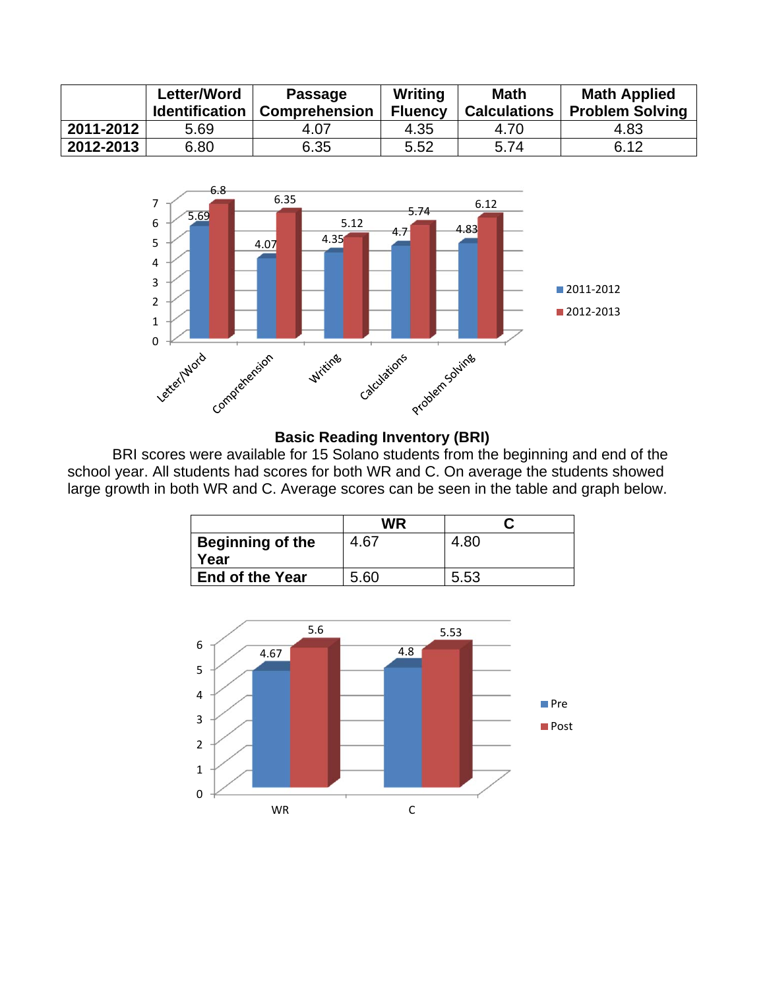|           | <b>Letter/Word</b><br><b>Identification</b> | <b>Passage</b><br><b>Comprehension</b> | Writing<br><b>Fluency</b> | <b>Math</b><br><b>Calculations</b> | <b>Math Applied</b><br><b>Problem Solving</b> |
|-----------|---------------------------------------------|----------------------------------------|---------------------------|------------------------------------|-----------------------------------------------|
| 2011-2012 | 5.69                                        | 4.07                                   | 4.35                      | 4.70                               | 4.83                                          |
| 2012-2013 | 6.80                                        | 6.35                                   | 5.52                      | 5.74                               | 6.12                                          |



#### **Basic Reading Inventory (BRI)**

 BRI scores were available for 15 Solano students from the beginning and end of the school year. All students had scores for both WR and C. On average the students showed large growth in both WR and C. Average scores can be seen in the table and graph below.

|                                 | WR   |      |
|---------------------------------|------|------|
| <b>Beginning of the</b><br>Year | 4.67 | 4.80 |
| <b>End of the Year</b>          | 5.60 | 5.53 |

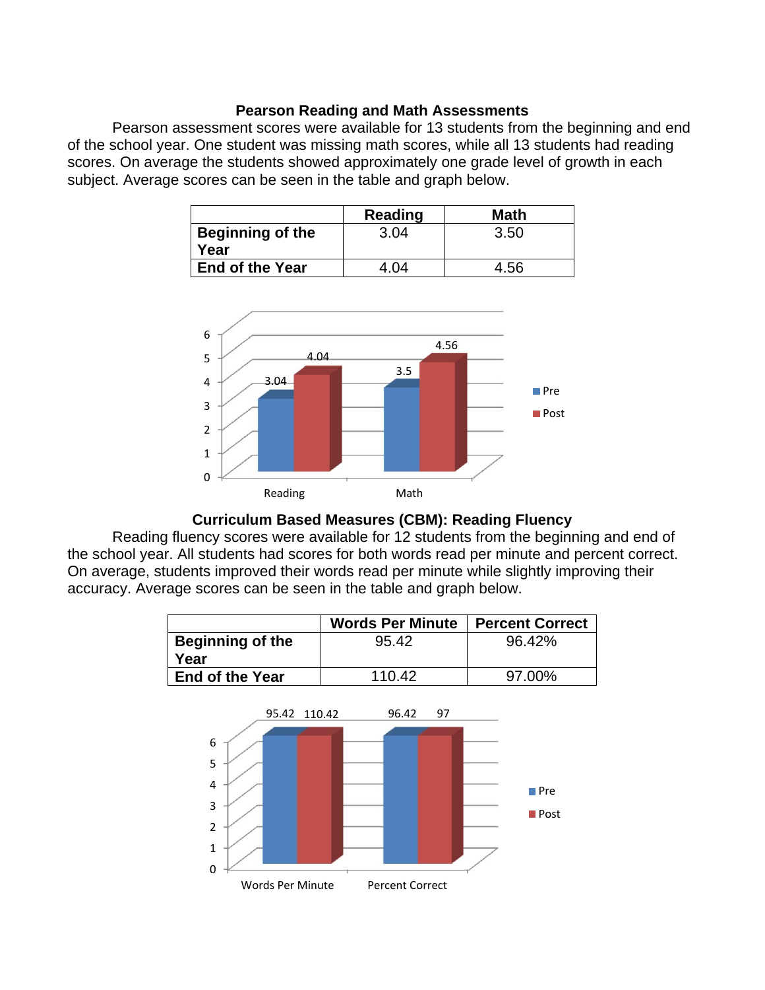#### **Pearson Reading and Math Assessments**

 Pearson assessment scores were available for 13 students from the beginning and end of the school year. One student was missing math scores, while all 13 students had reading scores. On average the students showed approximately one grade level of growth in each subject. Average scores can be seen in the table and graph below.

|                                 | Reading | Math |
|---------------------------------|---------|------|
| <b>Beginning of the</b><br>Year | 3.04    | 3.50 |
| <b>End of the Year</b>          | -04     | -56- |



### **Curriculum Based Measures (CBM): Reading Fluency**

 Reading fluency scores were available for 12 students from the beginning and end of the school year. All students had scores for both words read per minute and percent correct. On average, students improved their words read per minute while slightly improving their accuracy. Average scores can be seen in the table and graph below.

|                         | <b>Words Per Minute</b> | <b>Percent Correct</b> |
|-------------------------|-------------------------|------------------------|
| <b>Beginning of the</b> | 95.42                   | 96.42%                 |
| Year                    |                         |                        |
| <b>End of the Year</b>  | 110.42                  | 97.00%                 |

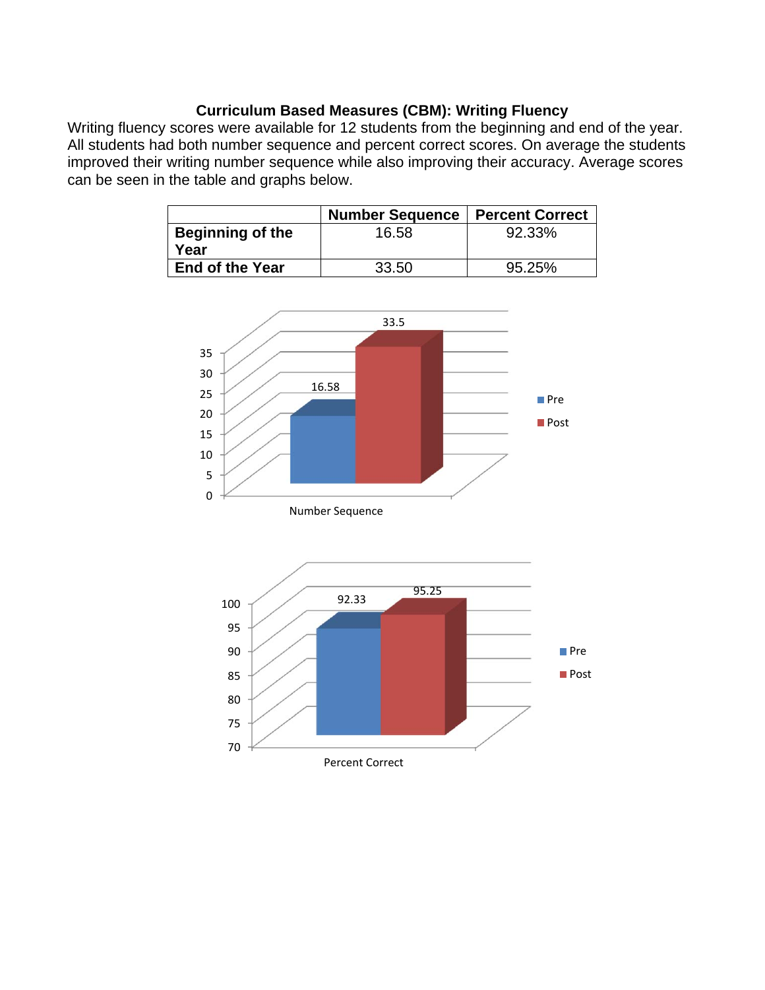### **Curriculum Based Measures (CBM): Writing Fluency**

Writing fluency scores were available for 12 students from the beginning and end of the year. All students had both number sequence and percent correct scores. On average the students improved their writing number sequence while also improving their accuracy. Average scores can be seen in the table and graphs below.

|                                 | <b>Number Sequence</b> | <b>Percent Correct</b> |
|---------------------------------|------------------------|------------------------|
| <b>Beginning of the</b><br>Year | 16.58                  | 92.33%                 |
| End of the Year                 | 33.50                  | 95.25%                 |

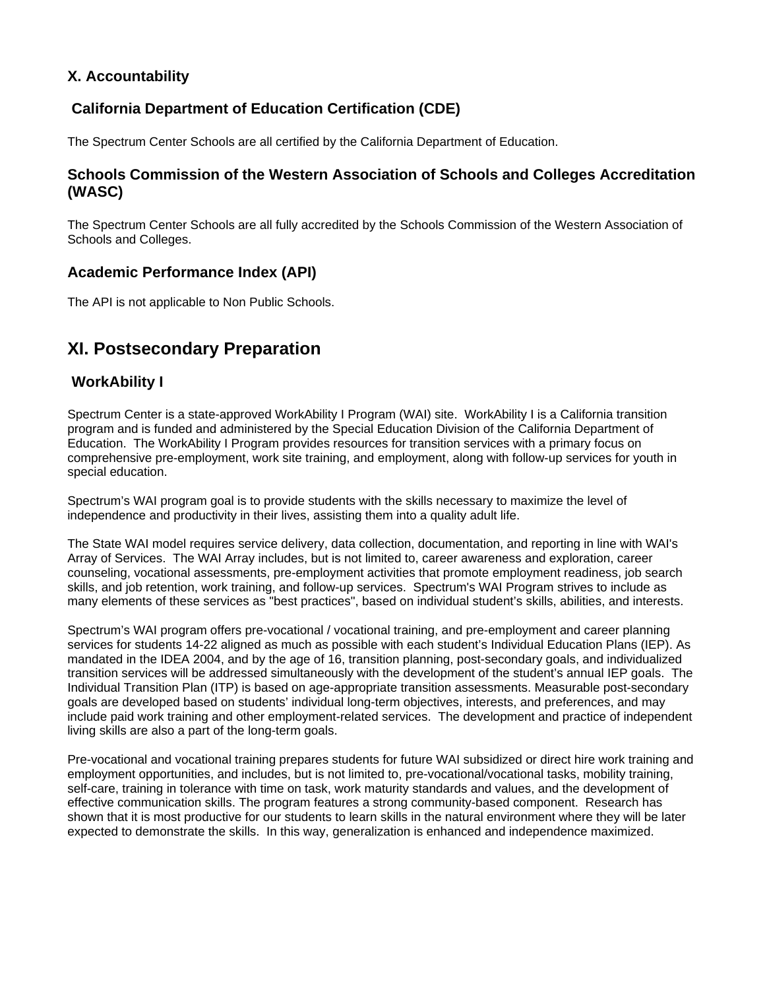### **X. Accountability**

### **California Department of Education Certification (CDE)**

The Spectrum Center Schools are all certified by the California Department of Education.

### **Schools Commission of the Western Association of Schools and Colleges Accreditation (WASC)**

The Spectrum Center Schools are all fully accredited by the Schools Commission of the Western Association of Schools and Colleges.

#### **Academic Performance Index (API)**

The API is not applicable to Non Public Schools.

### **XI. Postsecondary Preparation**

### **WorkAbility I**

Spectrum Center is a state-approved WorkAbility I Program (WAI) site. WorkAbility I is a California transition program and is funded and administered by the Special Education Division of the California Department of Education. The WorkAbility I Program provides resources for transition services with a primary focus on comprehensive pre-employment, work site training, and employment, along with follow-up services for youth in special education.

Spectrum's WAI program goal is to provide students with the skills necessary to maximize the level of independence and productivity in their lives, assisting them into a quality adult life.

The State WAI model requires service delivery, data collection, documentation, and reporting in line with WAI's Array of Services. The WAI Array includes, but is not limited to, career awareness and exploration, career counseling, vocational assessments, pre-employment activities that promote employment readiness, job search skills, and job retention, work training, and follow-up services. Spectrum's WAI Program strives to include as many elements of these services as "best practices", based on individual student's skills, abilities, and interests.

Spectrum's WAI program offers pre-vocational / vocational training, and pre-employment and career planning services for students 14-22 aligned as much as possible with each student's Individual Education Plans (IEP). As mandated in the IDEA 2004, and by the age of 16, transition planning, post-secondary goals, and individualized transition services will be addressed simultaneously with the development of the student's annual IEP goals. The Individual Transition Plan (ITP) is based on age-appropriate transition assessments. Measurable post-secondary goals are developed based on students' individual long-term objectives, interests, and preferences, and may include paid work training and other employment-related services. The development and practice of independent living skills are also a part of the long-term goals.

Pre-vocational and vocational training prepares students for future WAI subsidized or direct hire work training and employment opportunities, and includes, but is not limited to, pre-vocational/vocational tasks, mobility training, self-care, training in tolerance with time on task, work maturity standards and values, and the development of effective communication skills. The program features a strong community-based component. Research has shown that it is most productive for our students to learn skills in the natural environment where they will be later expected to demonstrate the skills. In this way, generalization is enhanced and independence maximized.